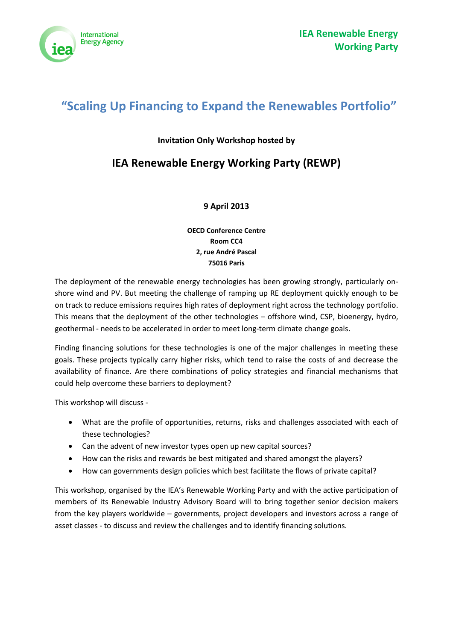

# **"Scaling Up Financing to Expand the Renewables Portfolio"**

### **Invitation Only Workshop hosted by**

## **IEA Renewable Energy Working Party (REWP)**

### **9 April 2013**

**OECD Conference Centre Room CC4 2, rue André Pascal 75016 Paris**

The deployment of the renewable energy technologies has been growing strongly, particularly onshore wind and PV. But meeting the challenge of ramping up RE deployment quickly enough to be on track to reduce emissions requires high rates of deployment right across the technology portfolio. This means that the deployment of the other technologies – offshore wind, CSP, bioenergy, hydro, geothermal - needs to be accelerated in order to meet long-term climate change goals.

Finding financing solutions for these technologies is one of the major challenges in meeting these goals. These projects typically carry higher risks, which tend to raise the costs of and decrease the availability of finance. Are there combinations of policy strategies and financial mechanisms that could help overcome these barriers to deployment?

This workshop will discuss -

- What are the profile of opportunities, returns, risks and challenges associated with each of these technologies?
- Can the advent of new investor types open up new capital sources?
- How can the risks and rewards be best mitigated and shared amongst the players?
- How can governments design policies which best facilitate the flows of private capital?

This workshop, organised by the IEA's Renewable Working Party and with the active participation of members of its Renewable Industry Advisory Board will to bring together senior decision makers from the key players worldwide – governments, project developers and investors across a range of asset classes - to discuss and review the challenges and to identify financing solutions.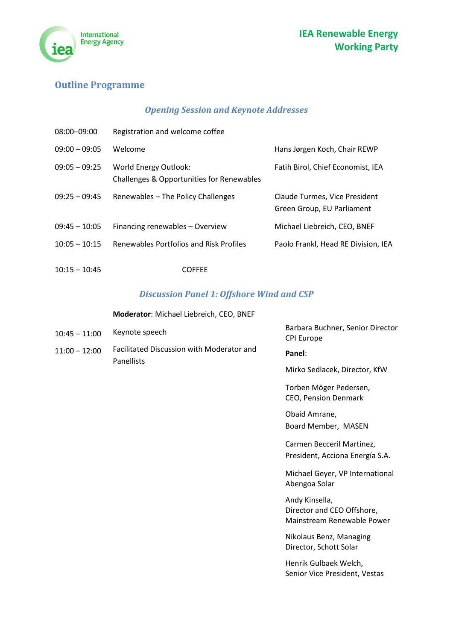

## **Outline Programme**

## *Opening Session and Keynote Addresses*

| $08:00 - 09:00$ | Registration and welcome coffee                                           |                                                             |
|-----------------|---------------------------------------------------------------------------|-------------------------------------------------------------|
| $09:00 - 09:05$ | Welcome                                                                   | Hans Jørgen Koch, Chair REWP                                |
| $09:05 - 09:25$ | <b>World Energy Outlook:</b><br>Challenges & Opportunities for Renewables | Fatih Birol, Chief Economist, IEA                           |
| $09:25 - 09:45$ | Renewables - The Policy Challenges                                        | Claude Turmes, Vice President<br>Green Group, EU Parliament |
| $09:45 - 10:05$ | Financing renewables - Overview                                           | Michael Liebreich, CEO, BNEF                                |
| $10:05 - 10:15$ | Renewables Portfolios and Risk Profiles                                   | Paolo Frankl, Head RE Division, IEA                         |

10:15 – 10:45 COFFEE

## *Discussion Panel 1: Offshore Wind and CSP*

#### **Moderator**: Michael Liebreich, CEO, BNEF

| $10:45 - 11:00$ | Keynote speech                                          | Barbara Buchner, Senior Director<br><b>CPI Europe</b>                      |
|-----------------|---------------------------------------------------------|----------------------------------------------------------------------------|
| $11:00 - 12:00$ | Facilitated Discussion with Moderator and<br>Panellists | Panel:                                                                     |
|                 |                                                         | Mirko Sedlacek, Director, KfW                                              |
|                 |                                                         | Torben Möger Pedersen,<br>CEO, Pension Denmark                             |
|                 |                                                         | Obaid Amrane,                                                              |
|                 |                                                         | Board Member, MASEN                                                        |
|                 |                                                         | Carmen Becceril Martinez,                                                  |
|                 |                                                         | President, Acciona Energía S.A.                                            |
|                 |                                                         | Michael Geyer, VP International<br>Abengoa Solar                           |
|                 |                                                         | Andy Kinsella,<br>Director and CEO Offshore,<br>Mainstream Renewable Power |

Nikolaus Benz, Managing Director, Schott Solar

Henrik Gulbaek Welch, Senior Vice President, Vestas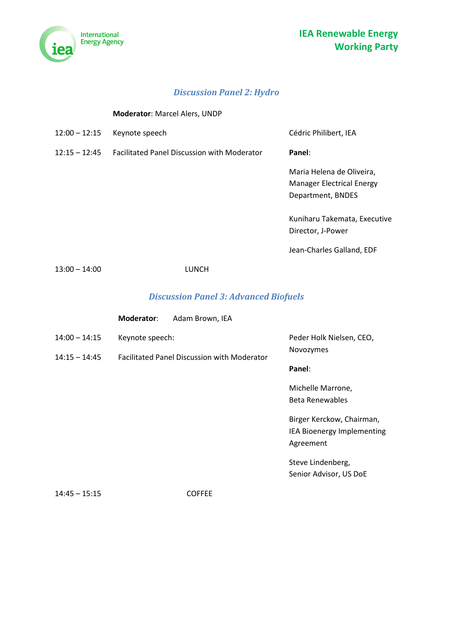



## *Discussion Panel 2: Hydro*

**Moderator**: Marcel Alers, UNDP

| $12:00 - 12:15$ | Keynote speech                                     | Cédric Philibert, IEA                                                              |
|-----------------|----------------------------------------------------|------------------------------------------------------------------------------------|
| $12:15 - 12:45$ | <b>Facilitated Panel Discussion with Moderator</b> | Panel:                                                                             |
|                 |                                                    | Maria Helena de Oliveira,<br><b>Manager Electrical Energy</b><br>Department, BNDES |
|                 |                                                    | Kuniharu Takemata, Executive<br>Director, J-Power                                  |
|                 |                                                    | Jean-Charles Galland, EDF                                                          |
| $13:00 - 14:00$ | LUNCH                                              |                                                                                    |

## *Discussion Panel 3: Advanced Biofuels*

|                 | Moderator:                                         | Adam Brown, IEA |                                                                      |
|-----------------|----------------------------------------------------|-----------------|----------------------------------------------------------------------|
| $14:00 - 14:15$ | Keynote speech:                                    |                 | Peder Holk Nielsen, CEO,<br>Novozymes                                |
| $14:15 - 14:45$ | <b>Facilitated Panel Discussion with Moderator</b> | Panel:          |                                                                      |
|                 |                                                    |                 | Michelle Marrone,<br><b>Beta Renewables</b>                          |
|                 |                                                    |                 | Birger Kerckow, Chairman,<br>IEA Bioenergy Implementing<br>Agreement |
|                 |                                                    |                 | Steve Lindenberg,<br>Senior Advisor, US DoE                          |
| $14:45 - 15:15$ |                                                    | <b>COFFEE</b>   |                                                                      |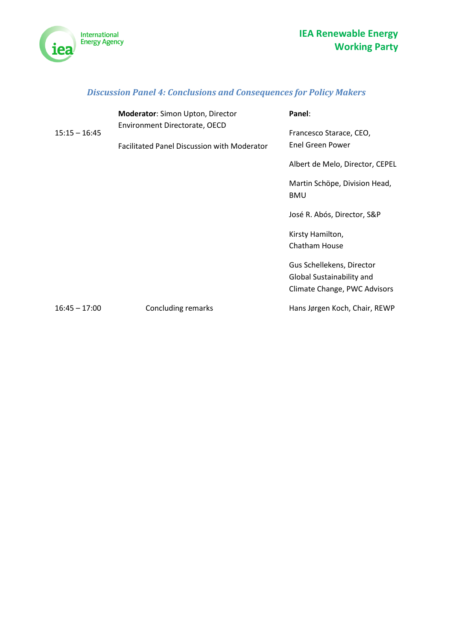

## *Discussion Panel 4: Conclusions and Consequences for Policy Makers*

| $15:15 - 16:45$ | <b>Moderator:</b> Simon Upton, Director<br>Environment Directorate, OECD | Panel:<br>Francesco Starace, CEO,                         |
|-----------------|--------------------------------------------------------------------------|-----------------------------------------------------------|
|                 | <b>Facilitated Panel Discussion with Moderator</b>                       | <b>Enel Green Power</b>                                   |
|                 |                                                                          | Albert de Melo, Director, CEPEL                           |
|                 |                                                                          | Martin Schöpe, Division Head,<br><b>BMU</b>               |
|                 |                                                                          | José R. Abós, Director, S&P                               |
|                 |                                                                          | Kirsty Hamilton,                                          |
|                 |                                                                          | Chatham House                                             |
|                 |                                                                          | Gus Schellekens, Director                                 |
|                 |                                                                          | Global Sustainability and<br>Climate Change, PWC Advisors |
| $16:45 - 17:00$ | Concluding remarks                                                       | Hans Jørgen Koch, Chair, REWP                             |